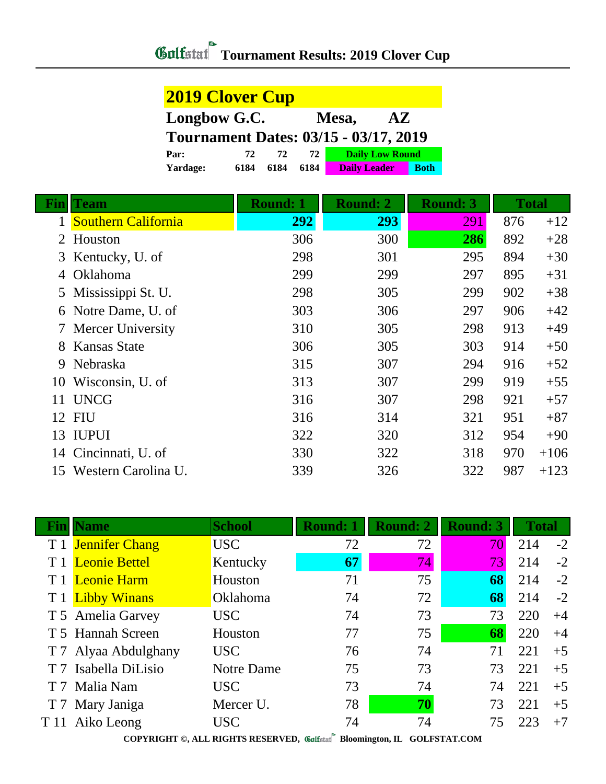## **Gulfatat** Tournament Results: 2019 Clover Cup

| <b>2019 Clover Cup</b>                       |      |      |      |                        |  |             |  |
|----------------------------------------------|------|------|------|------------------------|--|-------------|--|
| Longbow G.C.<br>Mesa,<br>AZ.                 |      |      |      |                        |  |             |  |
| <b>Tournament Dates: 03/15 - 03/17, 2019</b> |      |      |      |                        |  |             |  |
| Par:                                         | 72   | 72   | 72.  | <b>Daily Low Round</b> |  |             |  |
| Yardage:                                     | 6184 | 6184 | 6184 | <b>Daily Leader</b>    |  | <b>Both</b> |  |

|    | <b>Team</b>                | <b>Round: 1</b> | <b>Round: 2</b> | <b>Round: 3</b> | <b>Total</b> |        |
|----|----------------------------|-----------------|-----------------|-----------------|--------------|--------|
|    | <b>Southern California</b> | 292             | 293             | 291             | 876          | $+12$  |
| 2  | Houston                    | 306             | 300             | 286             | 892          | $+28$  |
|    | 3 Kentucky, U. of          | 298             | 301             | 295             | 894          | $+30$  |
| 4  | Oklahoma                   | 299             | 299             | 297             | 895          | $+31$  |
| 5  | Mississippi St. U.         | 298             | 305             | 299             | 902          | $+38$  |
| 6  | Notre Dame, U. of          | 303             | 306             | 297             | 906          | $+42$  |
|    | 7 Mercer University        | 310             | 305             | 298             | 913          | $+49$  |
| 8  | <b>Kansas State</b>        | 306             | 305             | 303             | 914          | $+50$  |
| 9  | Nebraska                   | 315             | 307             | 294             | 916          | $+52$  |
| 10 | Wisconsin, U. of           | 313             | 307             | 299             | 919          | $+55$  |
| 11 | <b>UNCG</b>                | 316             | 307             | 298             | 921          | $+57$  |
| 12 | <b>FIU</b>                 | 316             | 314             | 321             | 951          | $+87$  |
| 13 | <b>IUPUI</b>               | 322             | 320             | 312             | 954          | $+90$  |
| 14 | Cincinnati, U. of          | 330             | 322             | 318             | 970          | $+106$ |
| 15 | Western Carolina U.        | 339             | 326             | 322             | 987          | $+123$ |

|                | Vame                 | <b>School</b>     | <b>Round: 1</b> | Round: 2 | <b>Round: 3</b> | <b>Total</b> |      |
|----------------|----------------------|-------------------|-----------------|----------|-----------------|--------------|------|
|                | T 1 Jennifer Chang   | <b>USC</b>        | 72              | 72       | 70              | 214          | $-2$ |
|                | <b>Leonie Bettel</b> | Kentucky          | 67              | 74       | 73              | 214          | $-2$ |
|                | <b>Leonie Harm</b>   | Houston           | 71              | 75       | 68              | 214          | $-2$ |
|                | <b>Libby Winans</b>  | Oklahoma          | 74              | 72       | 68              | 214          | $-2$ |
|                | T 5 Amelia Garvey    | <b>USC</b>        | 74              | 73       | 73              | 220          | $+4$ |
|                | T 5 Hannah Screen    | Houston           | 77              | 75       | 68              | 220          | $+4$ |
|                | T 7 Alyaa Abdulghany | <b>USC</b>        | 76              | 74       | 71              | 221          | $+5$ |
|                | Isabella DiLisio     | <b>Notre Dame</b> | 75              | 73       | 73              | 221          | $+5$ |
| T <sub>7</sub> | Malia Nam            | <b>USC</b>        | 73              | 74       | 74              | 221          | $+5$ |
|                | T 7 Mary Janiga      | Mercer U.         | 78              | 70       | 73              | 221          | $+5$ |
| T 11           | Aiko Leong           | <b>USC</b>        | 74              | 74       | 75              | 223          | $+7$ |

**COPYRIGHT ©, ALL RIGHTS RESERVED, Bloomington, IL GOLFSTAT.COM**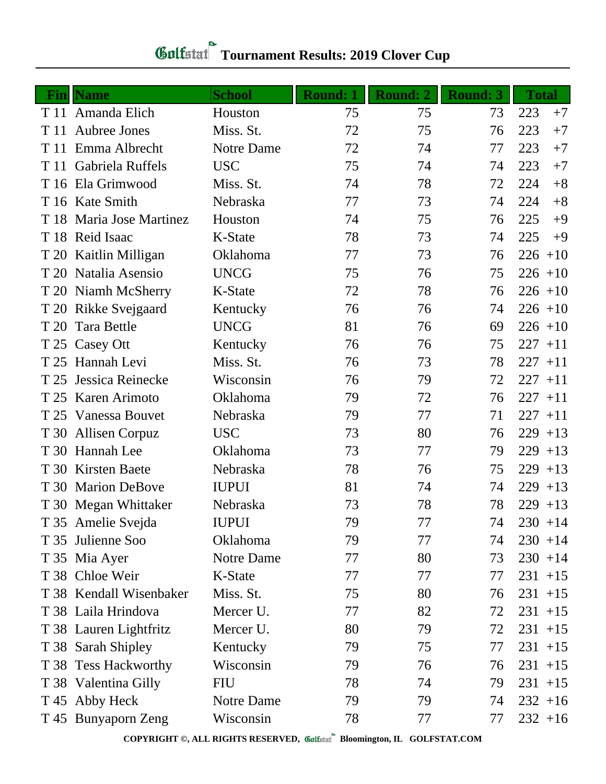| Fin  | <b>Name</b>             | <b>School</b> | Round: 1 | <b>Round: 2</b> | <b>Round: 3</b> | <b>Total</b> |
|------|-------------------------|---------------|----------|-----------------|-----------------|--------------|
|      | T 11 Amanda Elich       | Houston       | 75       | 75              | 73              | 223<br>$+7$  |
| T 11 | Aubree Jones            | Miss. St.     | 72       | 75              | 76              | 223<br>$+7$  |
| T 11 | Emma Albrecht           | Notre Dame    | 72       | 74              | 77              | 223<br>$+7$  |
| T 11 | Gabriela Ruffels        | <b>USC</b>    | 75       | 74              | 74              | 223<br>$+7$  |
| T 16 | Ela Grimwood            | Miss. St.     | 74       | 78              | 72              | 224<br>$+8$  |
|      | T 16 Kate Smith         | Nebraska      | 77       | 73              | 74              | 224<br>$+8$  |
| T 18 | Maria Jose Martinez     | Houston       | 74       | 75              | 76              | 225<br>$+9$  |
|      | T 18 Reid Isaac         | K-State       | 78       | 73              | 74              | 225<br>$+9$  |
|      | T 20 Kaitlin Milligan   | Oklahoma      | 77       | 73              | 76              | $226 + 10$   |
|      | T 20 Natalia Asensio    | <b>UNCG</b>   | 75       | 76              | 75              | $226 + 10$   |
|      | T 20 Niamh McSherry     | K-State       | 72       | 78              | 76              | $226 + 10$   |
|      | T 20 Rikke Svejgaard    | Kentucky      | 76       | 76              | 74              | $226 + 10$   |
| T 20 | Tara Bettle             | <b>UNCG</b>   | 81       | 76              | 69              | $226 + 10$   |
|      | T 25 Casey Ott          | Kentucky      | 76       | 76              | 75              | $227 + 11$   |
| T 25 | Hannah Levi             | Miss. St.     | 76       | 73              | 78              | $227 + 11$   |
| T 25 | Jessica Reinecke        | Wisconsin     | 76       | 79              | 72              | $227 + 11$   |
| T 25 | Karen Arimoto           | Oklahoma      | 79       | 72              | 76              | $227 + 11$   |
| T 25 | Vanessa Bouvet          | Nebraska      | 79       | 77              | 71              | 227<br>$+11$ |
| T 30 | <b>Allisen Corpuz</b>   | <b>USC</b>    | 73       | 80              | 76              | $229 + 13$   |
|      | T 30 Hannah Lee         | Oklahoma      | 73       | 77              | 79              | 229<br>$+13$ |
| T 30 | <b>Kirsten Baete</b>    | Nebraska      | 78       | 76              | 75              | 229<br>$+13$ |
|      | T 30 Marion DeBove      | <b>IUPUI</b>  | 81       | 74              | 74              | $229 + 13$   |
|      | T 30 Megan Whittaker    | Nebraska      | 73       | 78              | 78              | $229 + 13$   |
|      | T 35 Amelie Svejda      | <b>IUPUI</b>  | 79       | 77              | 74              | $230 + 14$   |
|      | T 35 Julienne Soo       | Oklahoma      | 79       | 77              | 74              | $230 + 14$   |
|      | T 35 Mia Ayer           | Notre Dame    | 77       | 80              | 73              | $230 + 14$   |
|      | T 38 Chloe Weir         | K-State       | 77       | 77              | 77              | $231 + 15$   |
|      | T 38 Kendall Wisenbaker | Miss. St.     | 75       | 80              | 76              | $231 + 15$   |
|      | T 38 Laila Hrindova     | Mercer U.     | 77       | 82              | 72              | $231 + 15$   |
|      | T 38 Lauren Lightfritz  | Mercer U.     | 80       | 79              | 72              | $231 + 15$   |
|      | T 38 Sarah Shipley      | Kentucky      | 79       | 75              | 77              | $231 + 15$   |
|      | T 38 Tess Hackworthy    | Wisconsin     | 79       | 76              | 76              | $231 + 15$   |
|      | T 38 Valentina Gilly    | <b>FIU</b>    | 78       | 74              | 79              | $231 + 15$   |
|      | T 45 Abby Heck          | Notre Dame    | 79       | 79              | 74              | $232 + 16$   |
|      | T 45 Bunyaporn Zeng     | Wisconsin     | 78       | 77              | 77              | $232 + 16$   |

**COPYRIGHT ©, ALL RIGHTS RESERVED, Bloomington, IL GOLFSTAT.COM**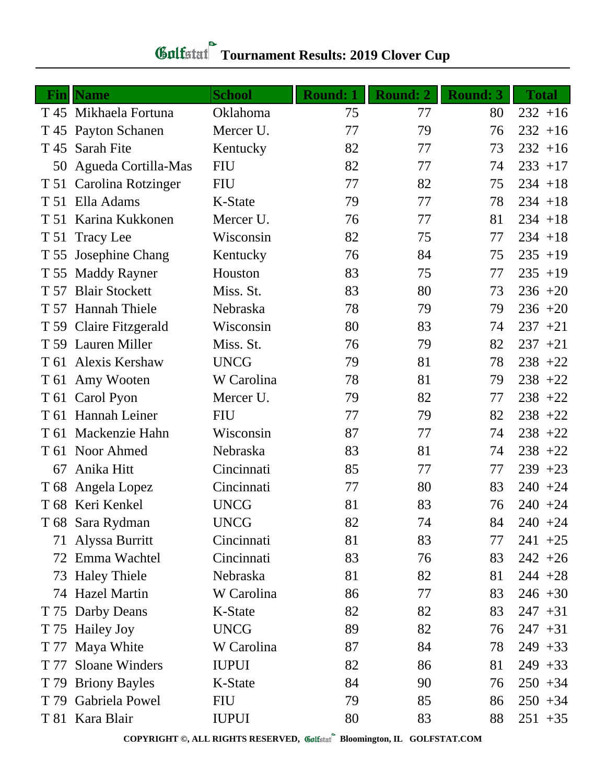| <b>Fin</b> | <b>Name</b>            | <b>School</b> | <b>Round: 1</b> | <b>Round: 2</b> | <b>Round: 3</b> | <b>Total</b> |
|------------|------------------------|---------------|-----------------|-----------------|-----------------|--------------|
|            | T 45 Mikhaela Fortuna  | Oklahoma      | 75              | 77              | 80              | $232 + 16$   |
| T 45       | <b>Payton Schanen</b>  | Mercer U.     | 77              | 79              | 76              | $232 + 16$   |
| T 45       | <b>Sarah Fite</b>      | Kentucky      | 82              | 77              | 73              | $232 + 16$   |
| 50         | Agueda Cortilla-Mas    | <b>FIU</b>    | 82              | 77              | 74              | $233 + 17$   |
| T 51       | Carolina Rotzinger     | <b>FIU</b>    | 77              | 82              | 75              | $234 + 18$   |
| T 51       | Ella Adams             | K-State       | 79              | 77              | 78              | $234 + 18$   |
|            | T 51 Karina Kukkonen   | Mercer U.     | 76              | 77              | 81              | $234 + 18$   |
| T 51       | <b>Tracy Lee</b>       | Wisconsin     | 82              | 75              | 77              | $234 + 18$   |
| T 55       | <b>Josephine Chang</b> | Kentucky      | 76              | 84              | 75              | $235 + 19$   |
| T 55       | <b>Maddy Rayner</b>    | Houston       | 83              | 75              | 77              | $235 + 19$   |
| T 57       | <b>Blair Stockett</b>  | Miss. St.     | 83              | 80              | 73              | $236 + 20$   |
|            | T 57 Hannah Thiele     | Nebraska      | 78              | 79              | 79              | $236 + 20$   |
|            | T 59 Claire Fitzgerald | Wisconsin     | 80              | 83              | 74              | $237 + 21$   |
|            | T 59 Lauren Miller     | Miss. St.     | 76              | 79              | 82              | $237 + 21$   |
| T 61       | Alexis Kershaw         | <b>UNCG</b>   | 79              | 81              | 78              | $238 + 22$   |
|            | T 61 Amy Wooten        | W Carolina    | 78              | 81              | 79              | $238 + 22$   |
|            | T 61 Carol Pyon        | Mercer U.     | 79              | 82              | 77              | $238 + 22$   |
|            | T 61 Hannah Leiner     | <b>FIU</b>    | 77              | 79              | 82              | $238 + 22$   |
| T 61       | Mackenzie Hahn         | Wisconsin     | 87              | 77              | 74              | $238 + 22$   |
| T 61       | Noor Ahmed             | Nebraska      | 83              | 81              | 74              | $238 + 22$   |
| 67         | Anika Hitt             | Cincinnati    | 85              | 77              | 77              | $239 + 23$   |
|            | T 68 Angela Lopez      | Cincinnati    | 77              | 80              | 83              | $240 + 24$   |
|            | T 68 Keri Kenkel       | <b>UNCG</b>   | 81              | 83              | 76              | $240 + 24$   |
|            | T 68 Sara Rydman       | <b>UNCG</b>   | 82              | 74              | 84              | $240 + 24$   |
| 71         | Alyssa Burritt         | Cincinnati    | 81              | 83              | 77              | $241 +25$    |
| 72         | Emma Wachtel           | Cincinnati    | 83              | 76              | 83              | $242 + 26$   |
| 73         | <b>Haley Thiele</b>    | Nebraska      | 81              | 82              | 81              | $244 + 28$   |
| 74         | <b>Hazel Martin</b>    | W Carolina    | 86              | 77              | 83              | $246 + 30$   |
| T 75       | Darby Deans            | K-State       | 82              | 82              | 83              | $247 + 31$   |
| T 75       | <b>Hailey Joy</b>      | <b>UNCG</b>   | 89              | 82              | 76              | $247 + 31$   |
|            | T 77 Maya White        | W Carolina    | 87              | 84              | 78              | $249 + 33$   |
| T 77       | <b>Sloane Winders</b>  | <b>IUPUI</b>  | 82              | 86              | 81              | $249 + 33$   |
| T 79       | <b>Briony Bayles</b>   | K-State       | 84              | 90              | 76              | $250 + 34$   |
| T 79       | Gabriela Powel         | <b>FIU</b>    | 79              | 85              | 86              | $250 + 34$   |
|            | T 81 Kara Blair        | <b>IUPUI</b>  | 80              | 83              | 88              | $251 + 35$   |

## **Gulfatat** Tournament Results: 2019 Clover Cup